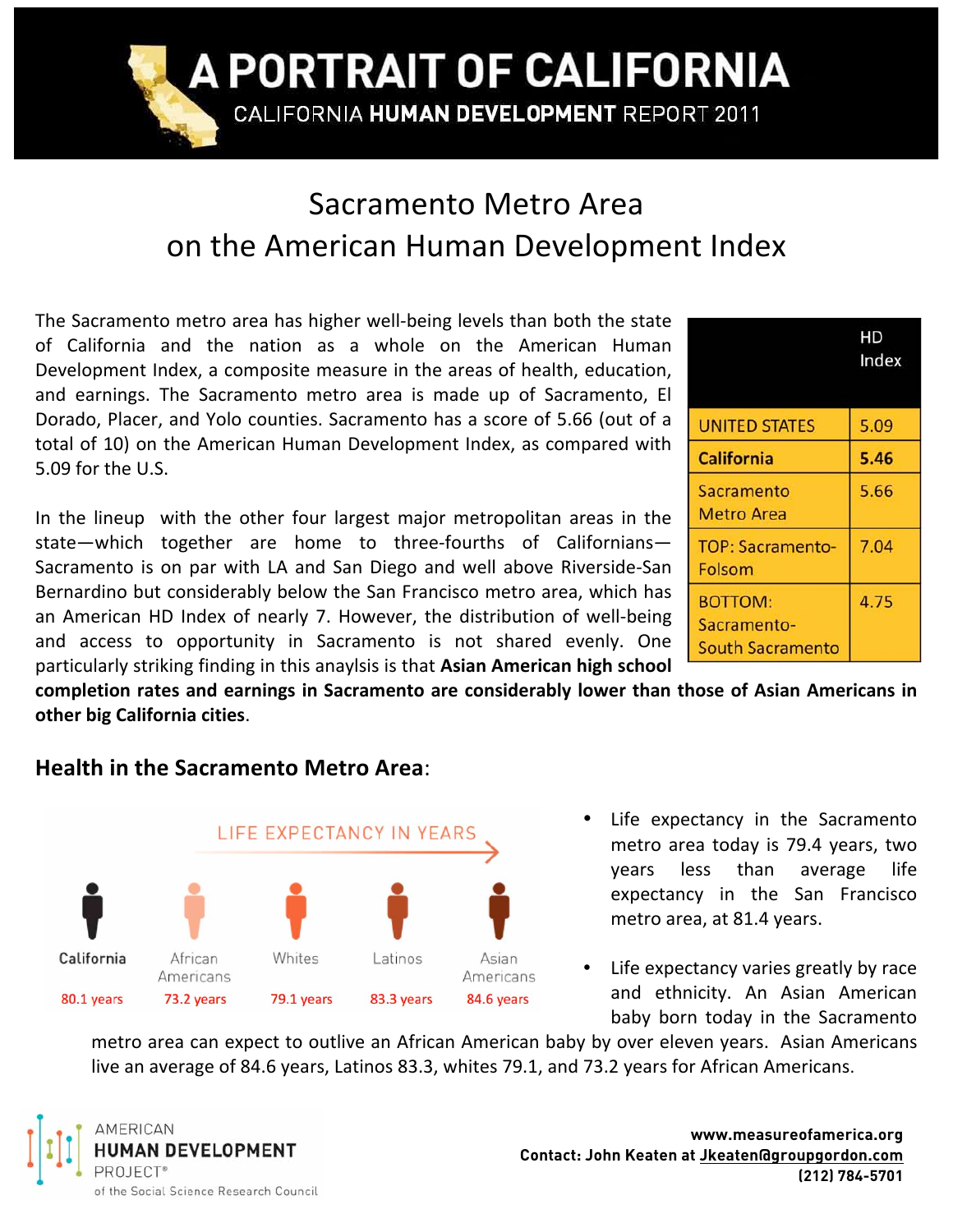

## Sacramento
Metro
Area on
the
American
Human
Development
Index

The Sacramento metro area has higher well-being levels than both the state of California and the nation as a whole on the American Human Development Index, a composite measure in the areas of health, education, and earnings. The Sacramento metro area is made up of Sacramento, El Dorado,
Placer,
and
Yolo
counties.
Sacramento
has
a
score
of
5.66
(out
of
a total of 10) on the American Human Development Index, as compared with 5.09
for
the
U.S.

In the lineup with the other four largest major metropolitan areas in the state—which together are home to three-fourths of Californians— Sacramento is on par with LA and San Diego and well above Riverside-San Bernardino but considerably below the San Francisco metro area, which has an American HD Index of nearly 7. However, the distribution of well-being and
 access
 to
 opportunity
 in
 Sacramento
 is
 not
 shared
 evenly.
 One particularly striking finding in this anaylsis is that Asian American high school

|                                                          | НD<br>Index |
|----------------------------------------------------------|-------------|
| <b>UNITED STATES</b>                                     | 5.09        |
| <b>California</b>                                        | 5.46        |
| Sacramento<br><b>Metro Area</b>                          | 5.66        |
| <b>TOP: Sacramento-</b><br>Folsom                        | 7.04        |
| <b>BOTTOM:</b><br>Sacramento-<br><b>South Sacramento</b> | 4.75        |

completion rates and earnings in Sacramento are considerably lower than those of Asian Americans in **other
big
California
cities**.

## **Health
in
the
Sacramento
Metro
Area**:



- Life expectancy in the Sacramento metro area
 today
 is
 79.4
 years,
two years
 less
 than
 average
 life expectancy
 in
 the
 San
 Francisco metro
area,
at
81.4
years.
- Life expectancy varies greatly by race and ethnicity. An Asian American baby
 born
 today
 in
 the
 Sacramento

metro area can expect to outlive an African American baby by over eleven years. Asian Americans live an average of 84.6 years, Latinos 83.3, whites 79.1, and 73.2 years for African Americans.



**www.measureofamerica.org Contact: John Keaten at Jkeaten@groupgordon.com (212) 784-5701**